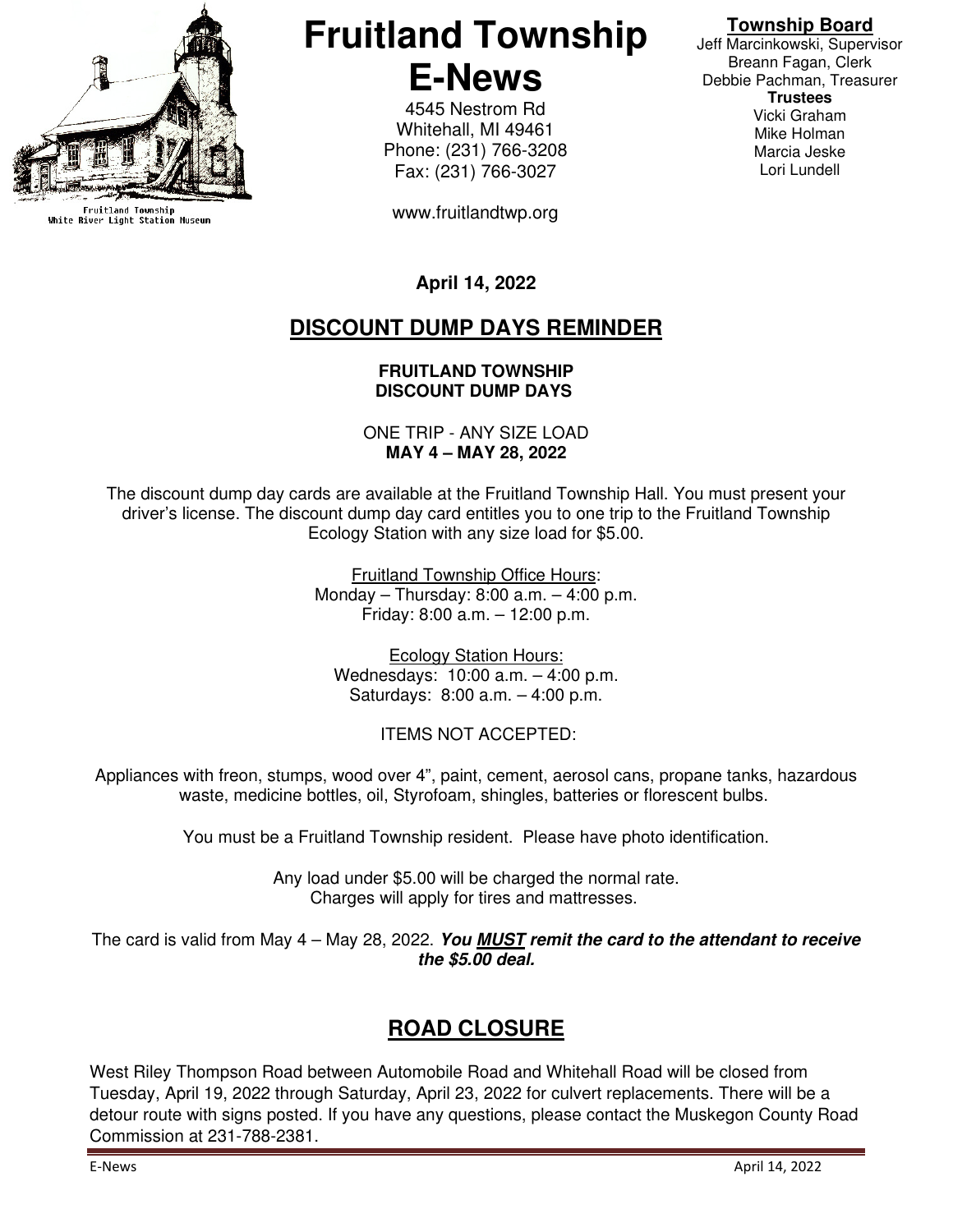

Fruitland Township<br>White River Light Station Museum

# **Fruitland Township E-News**

4545 Nestrom Rd Whitehall, MI 49461 Phone: (231) 766-3208 Fax: (231) 766-3027

www.fruitlandtwp.org

#### **Township Board**

Jeff Marcinkowski, Supervisor Breann Fagan, Clerk Debbie Pachman, Treasurer **Trustees**  Vicki Graham Mike Holman Marcia Jeske Lori Lundell

**April 14, 2022** 

## **DISCOUNT DUMP DAYS REMINDER**

#### **FRUITLAND TOWNSHIP DISCOUNT DUMP DAYS**

ONE TRIP - ANY SIZE LOAD **MAY 4 – MAY 28, 2022**

The discount dump day cards are available at the Fruitland Township Hall. You must present your driver's license. The discount dump day card entitles you to one trip to the Fruitland Township Ecology Station with any size load for \$5.00.

> Fruitland Township Office Hours: Monday – Thursday: 8:00 a.m. – 4:00 p.m. Friday: 8:00 a.m. – 12:00 p.m.

Ecology Station Hours: Wednesdays: 10:00 a.m. – 4:00 p.m. Saturdays: 8:00 a.m. – 4:00 p.m.

ITEMS NOT ACCEPTED:

Appliances with freon, stumps, wood over 4", paint, cement, aerosol cans, propane tanks, hazardous waste, medicine bottles, oil, Styrofoam, shingles, batteries or florescent bulbs.

You must be a Fruitland Township resident. Please have photo identification.

Any load under \$5.00 will be charged the normal rate. Charges will apply for tires and mattresses.

The card is valid from May 4 – May 28, 2022. **You MUST remit the card to the attendant to receive the \$5.00 deal.**

## **ROAD CLOSURE**

West Riley Thompson Road between Automobile Road and Whitehall Road will be closed from Tuesday, April 19, 2022 through Saturday, April 23, 2022 for culvert replacements. There will be a detour route with signs posted. If you have any questions, please contact the Muskegon County Road Commission at 231-788-2381.